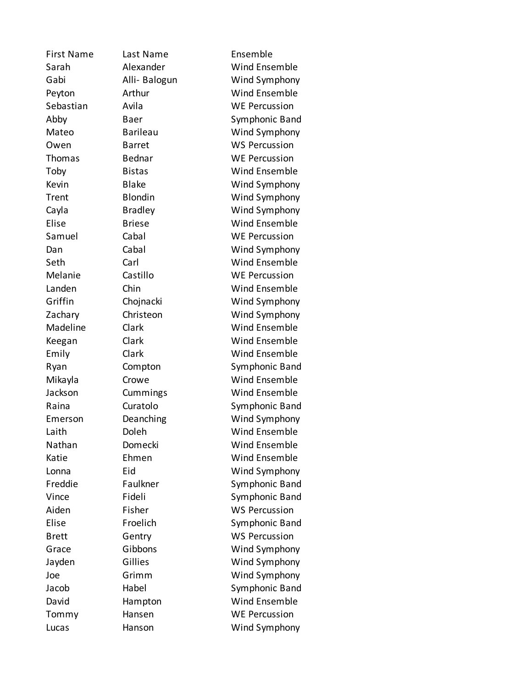First Name Last Name Ensemble Sarah Alexander Wind Ensemble Gabi Alli- Balogun Wind Symphony Peyton Arthur Wind Ensemble Sebastian Avila WE Percussion Abby Baer Symphonic Band Mateo Barileau Wind Symphony Owen Barret WS Percussion Thomas Bednar WE Percussion Toby Bistas Wind Ensemble Kevin Blake Wind Symphony Trent Blondin Wind Symphony Cayla Bradley Wind Symphony Elise Briese Wind Ensemble Samuel Cabal Cabal WE Percussion Dan Cabal Cabal Wind Symphony Seth Carl Carl Wind Ensemble Melanie Castillo WE Percussion Landen Chin Wind Ensemble Griffin Chojnacki Wind Symphony Zachary Christeon Wind Symphony Madeline Clark Wind Ensemble Keegan Clark Wind Ensemble Emily Clark Wind Ensemble Ryan Compton Symphonic Band Mikayla Crowe Wind Ensemble Jackson Cummings Wind Ensemble Raina Curatolo Symphonic Band Emerson Deanching Wind Symphony Laith Doleh Wind Ensemble Nathan Domecki Wind Ensemble Katie Ehmen Wind Ensemble Lonna Eid Wind Symphony Freddie Faulkner Symphonic Band Vince Fideli Symphonic Band Aiden Fisher WS Percussion Elise Froelich Symphonic Band Brett Gentry WS Percussion Grace Gibbons Wind Symphony Jayden Gillies Wind Symphony Joe Grimm Wind Symphony Jacob Habel Symphonic Band David Hampton Wind Ensemble Tommy Hansen WE Percussion Lucas Hanson Wind Symphony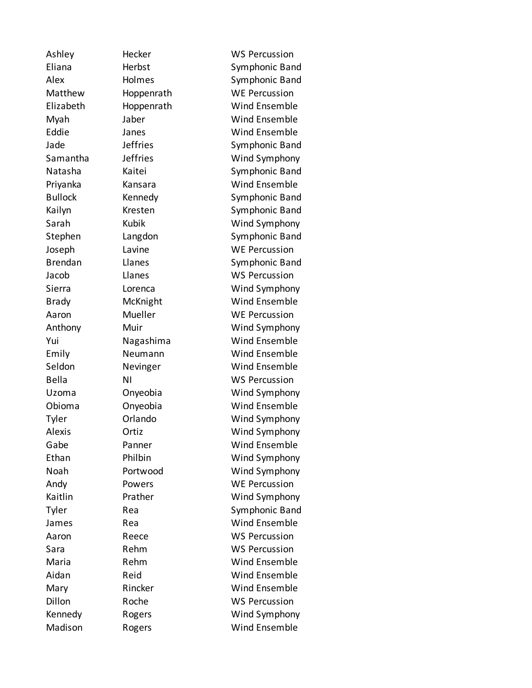Ashley Hecker WS Percussion Eliana Herbst Symphonic Band Alex Holmes Symphonic Band Matthew Hoppenrath WE Percussion Elizabeth Hoppenrath Wind Ensemble Myah Jaber Wind Ensemble Eddie Janes Wind Ensemble Jade **Jeffries** Symphonic Band Samantha Jeffries Wind Symphony Natasha Kaitei Symphonic Band Priyanka Kansara Wind Ensemble Bullock Kennedy Symphonic Band Kailyn Kresten Symphonic Band Sarah Kubik Wind Symphony Stephen Langdon Symphonic Band Joseph Lavine WE Percussion Brendan Llanes Symphonic Band Jacob Llanes WS Percussion Sierra Lorenca Wind Symphony Brady McKnight Wind Ensemble Aaron Mueller WE Percussion Anthony Muir Wind Symphony Yui Nagashima Wind Ensemble Emily Neumann Wind Ensemble Seldon Nevinger Wind Ensemble Bella NI NI WS Percussion Uzoma Onyeobia Wind Symphony Obioma Onyeobia Wind Ensemble Tyler Orlando Wind Symphony Alexis Ortiz Wind Symphony Gabe **Panner** Wind Ensemble Ethan Philbin Wind Symphony Noah Portwood Wind Symphony Andy Powers WE Percussion Kaitlin Prather Wind Symphony Tyler Rea Symphonic Band James Rea Rea Wind Ensemble Aaron Reece WS Percussion Sara Rehm WS Percussion Maria Rehm Wind Ensemble Aidan Reid Wind Ensemble Mary Rincker Wind Ensemble Dillon Roche WS Percussion Kennedy Rogers Wind Symphony Madison Rogers Wind Ensemble